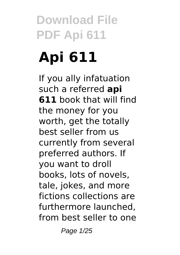# **Api 611**

If you ally infatuation such a referred **api 611** book that will find the money for you worth, get the totally best seller from us currently from several preferred authors. If you want to droll books, lots of novels, tale, jokes, and more fictions collections are furthermore launched, from best seller to one

Page 1/25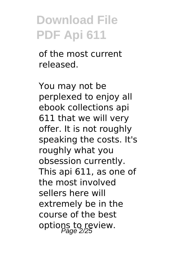of the most current released.

You may not be perplexed to enjoy all ebook collections api 611 that we will very offer. It is not roughly speaking the costs. It's roughly what you obsession currently. This api 611, as one of the most involved sellers here will extremely be in the course of the best options to review.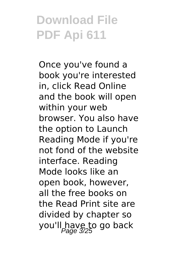Once you've found a book you're interested in, click Read Online and the book will open within your web browser. You also have the option to Launch Reading Mode if you're not fond of the website interface. Reading Mode looks like an open book, however, all the free books on the Read Print site are divided by chapter so you'll have to go back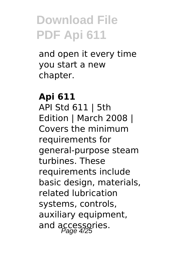and open it every time you start a new chapter.

#### **Api 611** API Std 611 | 5th Edition | March 2008 | Covers the minimum requirements for general-purpose steam turbines. These requirements include basic design, materials, related lubrication systems, controls, auxiliary equipment, and accessories.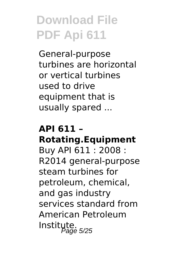General-purpose turbines are horizontal or vertical turbines used to drive equipment that is usually spared ...

#### **API 611 – Rotating.Equipment**

Buy API 611 : 2008 : R2014 general-purpose steam turbines for petroleum, chemical, and gas industry services standard from American Petroleum Institute.<br>Page 5/25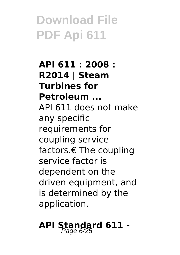**API 611 : 2008 : R2014 | Steam Turbines for Petroleum ...** API 611 does not make any specific requirements for coupling service factors.€ The coupling service factor is dependent on the driven equipment, and is determined by the application.

# **API Standard 611 -** Page 6/25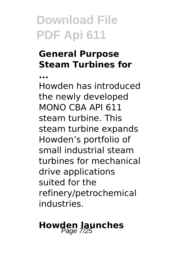**...**

#### **General Purpose Steam Turbines for**

Howden has introduced the newly developed MONO CBA API 611 steam turbine. This steam turbine expands Howden's portfolio of small industrial steam turbines for mechanical drive applications suited for the refinery/petrochemical industries.

# **Howden Jaunches**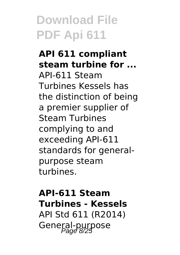#### **API 611 compliant steam turbine for ...** API-611 Steam Turbines Kessels has the distinction of being a premier supplier of Steam Turbines complying to and exceeding API-611 standards for generalpurpose steam turbines.

#### **API-611 Steam Turbines - Kessels** API Std 611 (R2014) General-purpose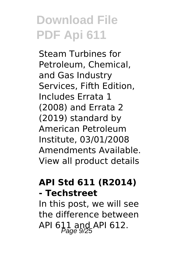Steam Turbines for Petroleum, Chemical, and Gas Industry Services, Fifth Edition, Includes Errata 1 (2008) and Errata 2 (2019) standard by American Petroleum Institute, 03/01/2008 Amendments Available. View all product details

#### **API Std 611 (R2014) - Techstreet**

In this post, we will see the difference between API 611 and API 612.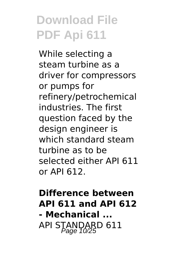While selecting a steam turbine as a driver for compressors or pumps for refinery/petrochemical industries. The first question faced by the design engineer is which standard steam turbine as to be selected either API 611 or API 612.

#### **Difference between API 611 and API 612 - Mechanical ...** API STANDARD 611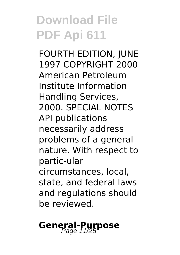FOURTH EDITION, JUNE 1997 COPYRIGHT 2000 American Petroleum Institute Information Handling Services, 2000. SPECIAL NOTES API publications necessarily address problems of a general nature. With respect to partic-ular circumstances, local, state, and federal laws and regulations should be reviewed.

# **General-Purpose**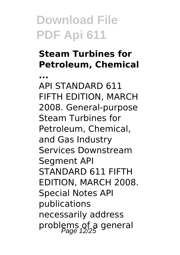**...**

#### **Steam Turbines for Petroleum, Chemical**

API STANDARD 611 FIFTH EDITION, MARCH 2008. General-purpose Steam Turbines for Petroleum, Chemical, and Gas Industry Services Downstream Segment API STANDARD 611 FIFTH EDITION, MARCH 2008. Special Notes API publications necessarily address problems of a general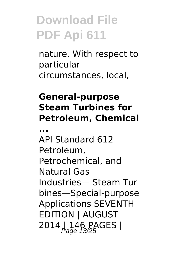nature. With respect to particular circumstances, local,

#### **General-purpose Steam Turbines for Petroleum, Chemical**

**...**

API Standard 612 Petroleum, Petrochemical, and Natural Gas Industries— Steam Tur bines—Special-purpose Applications SEVENTH EDITION | AUGUST 2014 | 146 PAGES |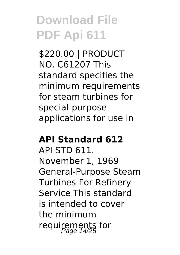\$220.00 | PRODUCT NO. C61207 This standard specifies the minimum requirements for steam turbines for special-purpose applications for use in

#### **API Standard 612**

API STD 611. November 1, 1969 General-Purpose Steam Turbines For Refinery Service This standard is intended to cover the minimum requirements for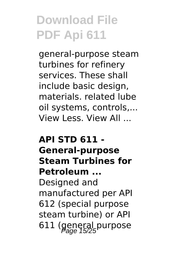general-purpose steam turbines for refinery services. These shall include basic design, materials. related lube oil systems, controls,... View Less. View All ...

#### **API STD 611 - General-purpose Steam Turbines for Petroleum ...**

Designed and manufactured per API 612 (special purpose steam turbine) or API 611 (general purpose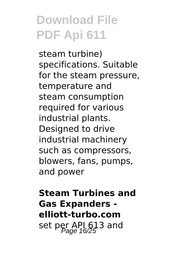steam turbine) specifications. Suitable for the steam pressure, temperature and steam consumption required for various industrial plants. Designed to drive industrial machinery such as compressors, blowers, fans, pumps, and power

**Steam Turbines and Gas Expanders elliott-turbo.com** set per API 613 and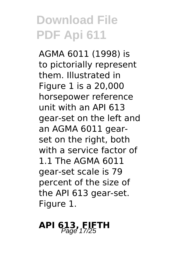AGMA 6011 (1998) is to pictorially represent them. Illustrated in Figure 1 is a 20,000 horsepower reference unit with an API 613 gear-set on the left and an AGMA 6011 gearset on the right, both with a service factor of 1.1 The AGMA 6011 gear-set scale is 79 percent of the size of the API 613 gear-set. Figure 1.

# **API 613, FIFTH** Page 17/25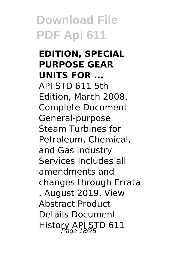**EDITION, SPECIAL PURPOSE GEAR UNITS FOR ...** API STD 611 5th Edition, March 2008. Complete Document General-purpose Steam Turbines for Petroleum, Chemical, and Gas Industry Services Includes all amendments and changes through Errata , August 2019. View Abstract Product Details Document History API STD 611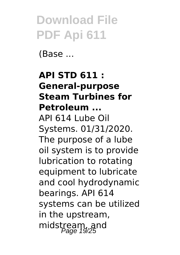(Base ...

#### **API STD 611 : General-purpose Steam Turbines for Petroleum ...**

API 614 Lube Oil Systems. 01/31/2020. The purpose of a lube oil system is to provide lubrication to rotating equipment to lubricate and cool hydrodynamic bearings. API 614 systems can be utilized in the upstream, midstream, and  $P_{\text{age 19/25}}$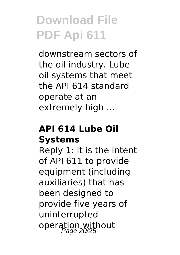downstream sectors of the oil industry. Lube oil systems that meet the API 614 standard operate at an extremely high ...

#### **API 614 Lube Oil Systems**

Reply 1: It is the intent of API 611 to provide equipment (including auxiliaries) that has been designed to provide five years of uninterrupted operation without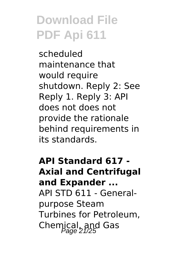scheduled maintenance that would require shutdown. Reply 2: See Reply 1. Reply 3: API does not does not provide the rationale behind requirements in its standards.

**API Standard 617 - Axial and Centrifugal and Expander ...** API STD 611 - Generalpurpose Steam Turbines for Petroleum, Chemical, and Gas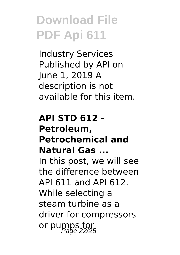Industry Services Published by API on June 1, 2019 A description is not available for this item.

#### **API STD 612 - Petroleum, Petrochemical and Natural Gas ...** In this post, we will see the difference between API 611 and API 612. While selecting a steam turbine as a

driver for compressors or pumps for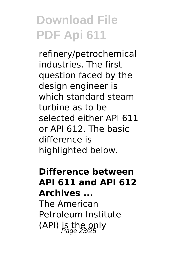refinery/petrochemical industries. The first question faced by the design engineer is which standard steam turbine as to be selected either API 611 or API 612. The basic difference is highlighted below.

#### **Difference between API 611 and API 612 Archives ...**

The American Petroleum Institute (API) is the only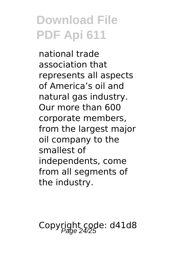national trade association that represents all aspects of America's oil and natural gas industry. Our more than 600 corporate members, from the largest major oil company to the smallest of independents, come from all segments of the industry.

Copyright code: d41d8